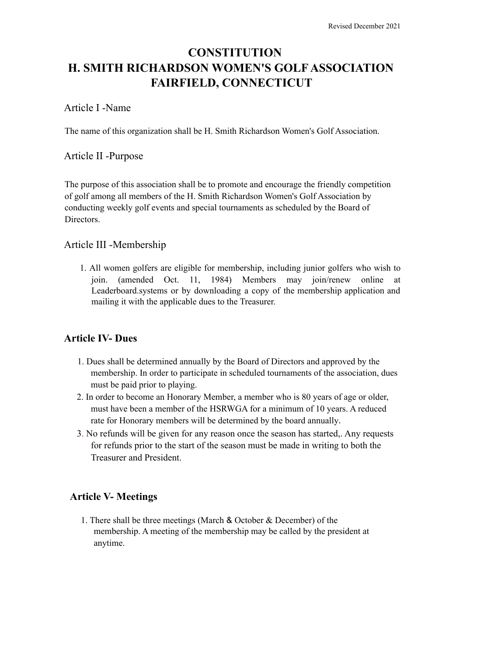# **CONSTITUTION H. SMITH RICHARDSON WOMEN'S GOLF ASSOCIATION FAIRFIELD, CONNECTICUT**

#### Article I -Name

The name of this organization shall be H. Smith Richardson Women's Golf Association.

#### Article II -Purpose

The purpose of this association shall be to promote and encourage the friendly competition of golf among all members of the H. Smith Richardson Women's Golf Association by conducting weekly golf events and special tournaments as scheduled by the Board of **Directors** 

#### Article III -Membership

1. All women golfers are eligible for membership, including junior golfers who wish to join. (amended Oct. 11, 1984) Members may join/renew online at Leaderboard.systems or by downloading a copy of the membership application and mailing it with the applicable dues to the Treasurer.

#### **Article IV- Dues**

- 1. Dues shall be determined annually by the Board of Directors and approved by the membership. In order to participate in scheduled tournaments of the association, dues must be paid prior to playing.
- 2. In order to become an Honorary Member, a member who is 80 years of age or older, must have been a member of the HSRWGA for a minimum of 10 years. A reduced rate for Honorary members will be determined by the board annually.
- 3. No refunds will be given for any reason once the season has started,. Any requests for refunds prior to the start of the season must be made in writing to both the Treasurer and President.

#### **Article V- Meetings**

1. There shall be three meetings (March & October & December) of the membership. A meeting of the membership may be called by the president at anytime.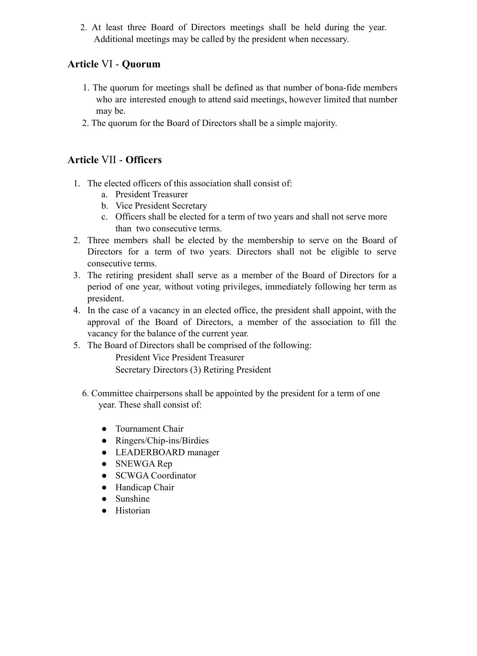2. At least three Board of Directors meetings shall be held during the year. Additional meetings may be called by the president when necessary.

# **Article** VI - **Quorum**

- 1. The quorum for meetings shall be defined as that number of bona-fide members who are interested enough to attend said meetings, however limited that number may be.
- 2. The quorum for the Board of Directors shall be a simple majority.

# **Article** VII - **Officers**

- 1. The elected officers of this association shall consist of:
	- a. President Treasurer
	- b. Vice President Secretary
	- c. Officers shall be elected for a term of two years and shall not serve more than two consecutive terms.
- 2. Three members shall be elected by the membership to serve on the Board of Directors for a term of two years. Directors shall not be eligible to serve consecutive terms.
- 3. The retiring president shall serve as a member of the Board of Directors for a period of one year, without voting privileges, immediately following her term as president.
- 4. In the case of a vacancy in an elected office, the president shall appoint, with the approval of the Board of Directors, a member of the association to fill the vacancy for the balance of the current year.
- 5. The Board of Directors shall be comprised of the following:

President Vice President Treasurer Secretary Directors (3) Retiring President

- 6. Committee chairpersons shall be appointed by the president for a term of one year. These shall consist of:
	- Tournament Chair
	- Ringers/Chip-ins/Birdies
	- LEADERBOARD manager
	- SNEWGA Rep
	- SCWGA Coordinator
	- Handicap Chair
	- Sunshine
	- Historian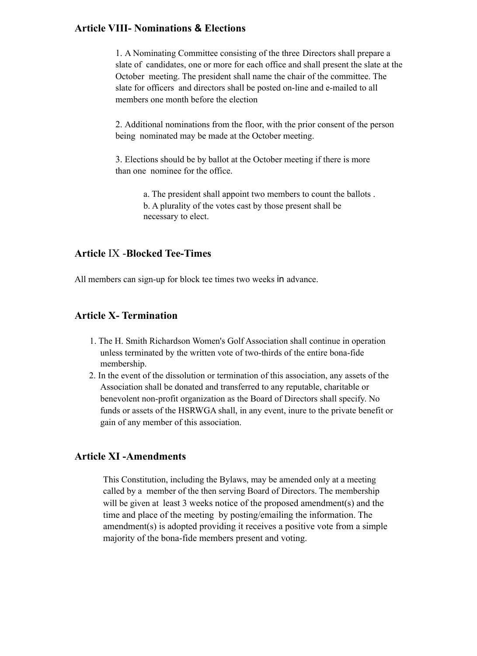#### **Article VIII- Nominations & Elections**

1. A Nominating Committee consisting of the three Directors shall prepare a slate of candidates, one or more for each office and shall present the slate at the October meeting. The president shall name the chair of the committee. The slate for officers and directors shall be posted on-line and e-mailed to all members one month before the election

2. Additional nominations from the floor, with the prior consent of the person being nominated may be made at the October meeting.

3. Elections should be by ballot at the October meeting if there is more than one nominee for the office.

> a. The president shall appoint two members to count the ballots . b. A plurality of the votes cast by those present shall be necessary to elect.

#### **Article** IX -**Blocked Tee-Times**

All members can sign-up for block tee times two weeks in advance.

#### **Article X- Termination**

- 1. The H. Smith Richardson Women's Golf Association shall continue in operation unless terminated by the written vote of two-thirds of the entire bona-fide membership.
- 2. In the event of the dissolution or termination of this association, any assets of the Association shall be donated and transferred to any reputable, charitable or benevolent non-profit organization as the Board of Directors shall specify. No funds or assets of the HSRWGA shall, in any event, inure to the private benefit or gain of any member of this association.

#### **Article XI -Amendments**

This Constitution, including the Bylaws, may be amended only at a meeting called by a member of the then serving Board of Directors. The membership will be given at least 3 weeks notice of the proposed amendment(s) and the time and place of the meeting by posting/emailing the information. The amendment(s) is adopted providing it receives a positive vote from a simple majority of the bona-fide members present and voting.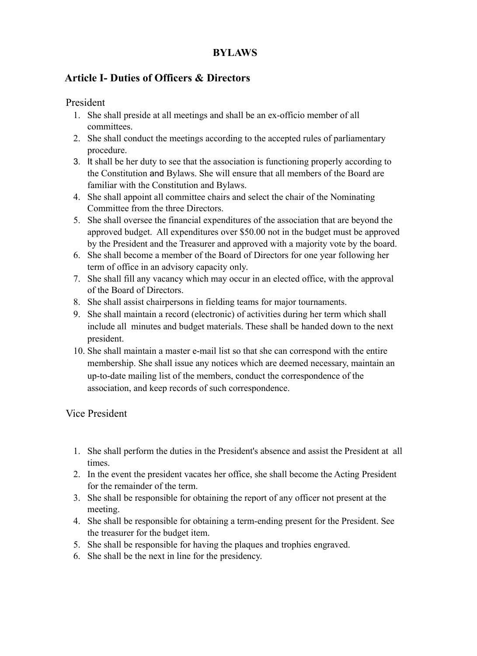# **BYLAWS**

# **Article I- Duties of Officers & Directors**

President

- 1. She shall preside at all meetings and shall be an ex-officio member of all committees.
- 2. She shall conduct the meetings according to the accepted rules of parliamentary procedure.
- 3. It shall be her duty to see that the association is functioning properly according to the Constitution and Bylaws. She will ensure that all members of the Board are familiar with the Constitution and Bylaws.
- 4. She shall appoint all committee chairs and select the chair of the Nominating Committee from the three Directors.
- 5. She shall oversee the financial expenditures of the association that are beyond the approved budget. All expenditures over \$50.00 not in the budget must be approved by the President and the Treasurer and approved with a majority vote by the board.
- 6. She shall become a member of the Board of Directors for one year following her term of office in an advisory capacity only.
- 7. She shall fill any vacancy which may occur in an elected office, with the approval of the Board of Directors.
- 8. She shall assist chairpersons in fielding teams for major tournaments.
- 9. She shall maintain a record (electronic) of activities during her term which shall include all minutes and budget materials. These shall be handed down to the next president.
- 10. She shall maintain a master e-mail list so that she can correspond with the entire membership. She shall issue any notices which are deemed necessary, maintain an up-to-date mailing list of the members, conduct the correspondence of the association, and keep records of such correspondence.

Vice President

- 1. She shall perform the duties in the President's absence and assist the President at all times.
- 2. In the event the president vacates her office, she shall become the Acting President for the remainder of the term.
- 3. She shall be responsible for obtaining the report of any officer not present at the meeting.
- 4. She shall be responsible for obtaining a term-ending present for the President. See the treasurer for the budget item.
- 5. She shall be responsible for having the plaques and trophies engraved.
- 6. She shall be the next in line for the presidency.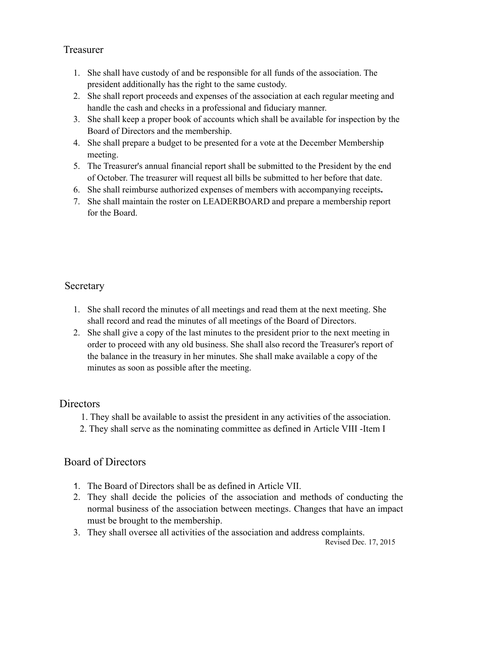### Treasurer

- 1. She shall have custody of and be responsible for all funds of the association. The president additionally has the right to the same custody.
- 2. She shall report proceeds and expenses of the association at each regular meeting and handle the cash and checks in a professional and fiduciary manner.
- 3. She shall keep a proper book of accounts which shall be available for inspection by the Board of Directors and the membership.
- 4. She shall prepare a budget to be presented for a vote at the December Membership meeting.
- 5. The Treasurer's annual financial report shall be submitted to the President by the end of October. The treasurer will request all bills be submitted to her before that date.
- 6. She shall reimburse authorized expenses of members with accompanying receipts**.**
- 7. She shall maintain the roster on LEADERBOARD and prepare a membership report for the Board.

### **Secretary**

- 1. She shall record the minutes of all meetings and read them at the next meeting. She shall record and read the minutes of all meetings of the Board of Directors.
- 2. She shall give a copy of the last minutes to the president prior to the next meeting in order to proceed with any old business. She shall also record the Treasurer's report of the balance in the treasury in her minutes. She shall make available a copy of the minutes as soon as possible after the meeting.

## Directors

- 1. They shall be available to assist the president in any activities of the association.
- 2. They shall serve as the nominating committee as defined in Article VIII -Item I

## Board of Directors

- 1. The Board of Directors shall be as defined in Article VII.
- 2. They shall decide the policies of the association and methods of conducting the normal business of the association between meetings. Changes that have an impact must be brought to the membership.
- 3. They shall oversee all activities of the association and address complaints.

Revised Dec. 17, 2015